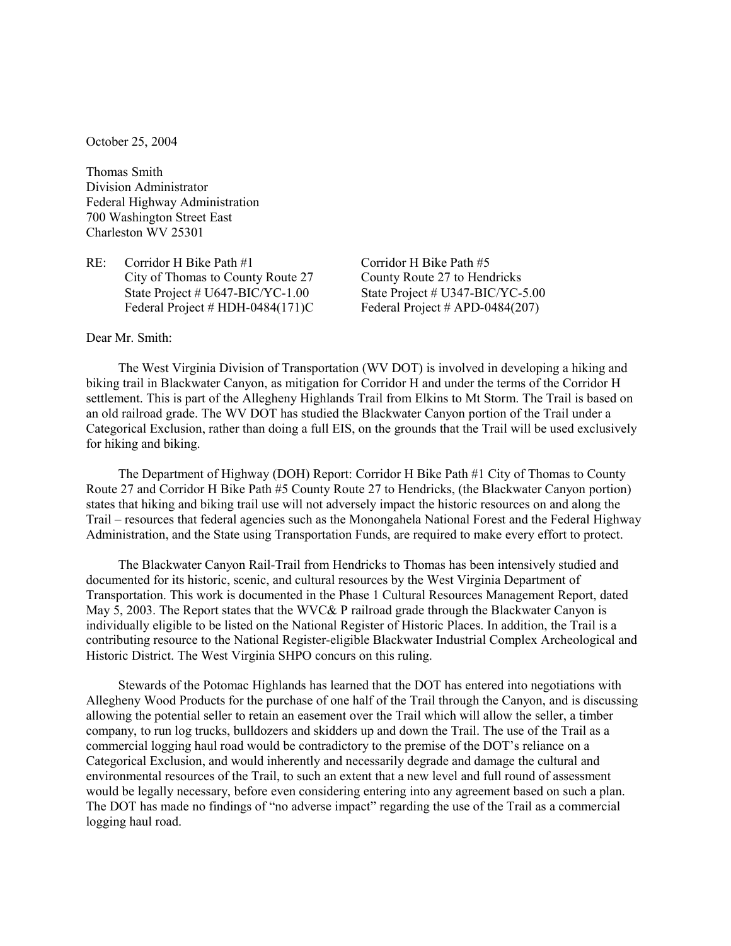October 25, 2004

Thomas Smith Division Administrator Federal Highway Administration 700 Washington Street East Charleston WV 25301

RE: Corridor H Bike Path #1 City of Thomas to County Route 27 State Project # U647-BIC/YC-1.00 Federal Project # HDH-0484(171)C Corridor H Bike Path #5 County Route 27 to Hendricks State Project # U347-BIC/YC-5.00 Federal Project # APD-0484(207)

## Dear Mr. Smith:

The West Virginia Division of Transportation (WV DOT) is involved in developing a hiking and biking trail in Blackwater Canyon, as mitigation for Corridor H and under the terms of the Corridor H settlement. This is part of the Allegheny Highlands Trail from Elkins to Mt Storm. The Trail is based on an old railroad grade. The WV DOT has studied the Blackwater Canyon portion of the Trail under a Categorical Exclusion, rather than doing a full EIS, on the grounds that the Trail will be used exclusively for hiking and biking.

The Department of Highway (DOH) Report: Corridor H Bike Path #1 City of Thomas to County Route 27 and Corridor H Bike Path #5 County Route 27 to Hendricks, (the Blackwater Canyon portion) states that hiking and biking trail use will not adversely impact the historic resources on and along the Trail – resources that federal agencies such as the Monongahela National Forest and the Federal Highway Administration, and the State using Transportation Funds, are required to make every effort to protect.

The Blackwater Canyon Rail-Trail from Hendricks to Thomas has been intensively studied and documented for its historic, scenic, and cultural resources by the West Virginia Department of Transportation. This work is documented in the Phase 1 Cultural Resources Management Report, dated May 5, 2003. The Report states that the WVC& P railroad grade through the Blackwater Canyon is individually eligible to be listed on the National Register of Historic Places. In addition, the Trail is a contributing resource to the National Register-eligible Blackwater Industrial Complex Archeological and Historic District. The West Virginia SHPO concurs on this ruling.

Stewards of the Potomac Highlands has learned that the DOT has entered into negotiations with Allegheny Wood Products for the purchase of one half of the Trail through the Canyon, and is discussing allowing the potential seller to retain an easement over the Trail which will allow the seller, a timber company, to run log trucks, bulldozers and skidders up and down the Trail. The use of the Trail as a commercial logging haul road would be contradictory to the premise of the DOT's reliance on a Categorical Exclusion, and would inherently and necessarily degrade and damage the cultural and environmental resources of the Trail, to such an extent that a new level and full round of assessment would be legally necessary, before even considering entering into any agreement based on such a plan. The DOT has made no findings of "no adverse impact" regarding the use of the Trail as a commercial logging haul road.